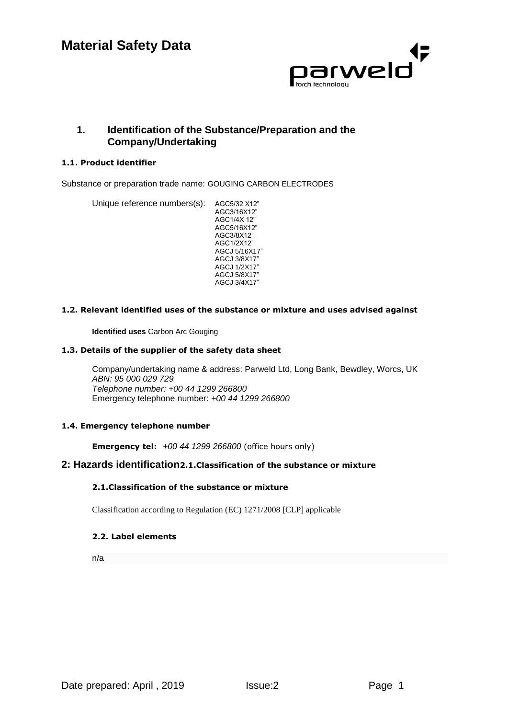

# **1. Identification of the Substance/Preparation and the Company/Undertaking**

### **1.1. Product identifier**

Substance or preparation trade name: GOUGING CARBON ELECTRODES

Unique reference numbers(s): AGC5/32 X12" AGC3/16X12" AGC1/4X 12" AGC5/16X12" AGC3/8X12" AGC1/2X12" AGCJ 5/16X17" AGCJ 3/8X17" AGCJ 1/2X17" AGCJ 5/8X17" AGCJ 3/4X17"

#### **1.2. Relevant identified uses of the substance or mixture and uses advised against**

**Identified uses** Carbon Arc Gouging

#### **1.3. Details of the supplier of the safety data sheet**

Company/undertaking name & address: Parweld Ltd, Long Bank, Bewdley, Worcs, UK *ABN: 95 000 029 729 Telephone number: +00 44 1299 266800*  Emergency telephone number: *+00 44 1299 266800*

#### **1.4. Emergency telephone number**

**Emergency tel:** *+00 44 1299 266800* (office hours only)

## **2: Hazards identification2.1.Classification of the substance or mixture**

#### **2.1.Classification of the substance or mixture**

Classification according to Regulation (EC) 1271/2008 [CLP] applicable

#### **2.2. Label elements**

n/a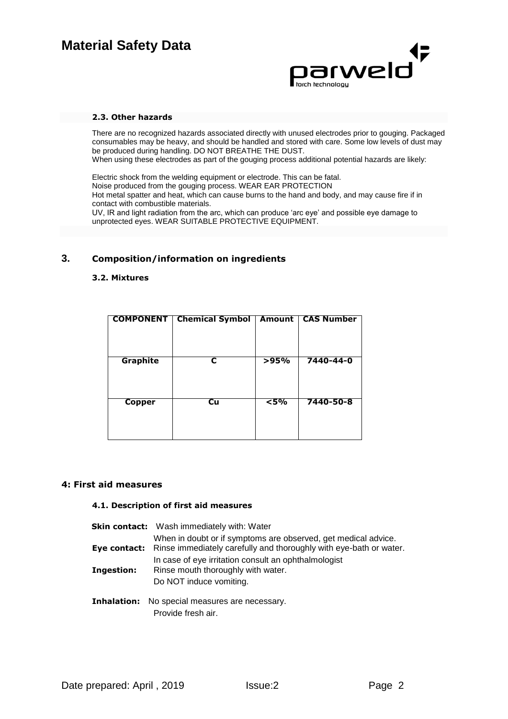

#### **2.3. Other hazards**

There are no recognized hazards associated directly with unused electrodes prior to gouging. Packaged consumables may be heavy, and should be handled and stored with care. Some low levels of dust may be produced during handling. DO NOT BREATHE THE DUST.

When using these electrodes as part of the gouging process additional potential hazards are likely:

Electric shock from the welding equipment or electrode. This can be fatal. Noise produced from the gouging process. WEAR EAR PROTECTION Hot metal spatter and heat, which can cause burns to the hand and body, and may cause fire if in contact with combustible materials.

UV, IR and light radiation from the arc, which can produce 'arc eye' and possible eye damage to unprotected eyes. WEAR SUITABLE PROTECTIVE EQUIPMENT.

# **3. Composition/information on ingredients**

#### **3.2. Mixtures**

| <b>COMPONENT</b> | <b>Chemical Symbol</b> | Amount | <b>CAS Number</b> |
|------------------|------------------------|--------|-------------------|
| <b>Graphite</b>  |                        | >95%   | 7440-44-0         |
| <b>Copper</b>    | Cu                     | $5\%$  | 7440-50-8         |

#### **4: First aid measures**

#### **4.1. Description of first aid measures**

|            | <b>Skin contact:</b> Wash immediately with: Water                                                                                                 |
|------------|---------------------------------------------------------------------------------------------------------------------------------------------------|
|            | When in doubt or if symptoms are observed, get medical advice.<br>Eye contact: Rinse immediately carefully and thoroughly with eye-bath or water. |
| Ingestion: | In case of eye irritation consult an ophthalmologist<br>Rinse mouth thoroughly with water.<br>Do NOT induce vomiting.                             |

**Inhalation:** No special measures are necessary. Provide fresh air.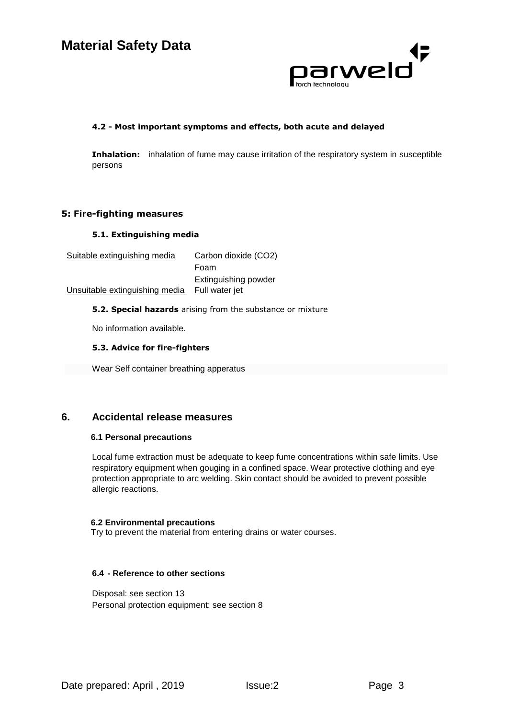

#### **4.2 - Most important symptoms and effects, both acute and delayed**

**Inhalation:** inhalation of fume may cause irritation of the respiratory system in susceptible persons

## **5: Fire-fighting measures**

#### **5.1. Extinguishing media**

| Suitable extinguishing media   | Carbon dioxide (CO2) |
|--------------------------------|----------------------|
|                                | Foam                 |
|                                | Extinguishing powder |
| Unsuitable extinguishing media | Full water jet       |

#### **5.2. Special hazards** arising from the substance or mixture

No information available.

#### **5.3. Advice for fire-fighters**

Wear Self container breathing apperatus

# **6. Accidental release measures**

#### **6.1 Personal precautions**

Local fume extraction must be adequate to keep fume concentrations within safe limits. Use respiratory equipment when gouging in a confined space. Wear protective clothing and eye protection appropriate to arc welding. Skin contact should be avoided to prevent possible allergic reactions.

#### **6.2 Environmental precautions**

Try to prevent the material from entering drains or water courses.

#### **6.4 - Reference to other sections**

Disposal: see section 13 Personal protection equipment: see section 8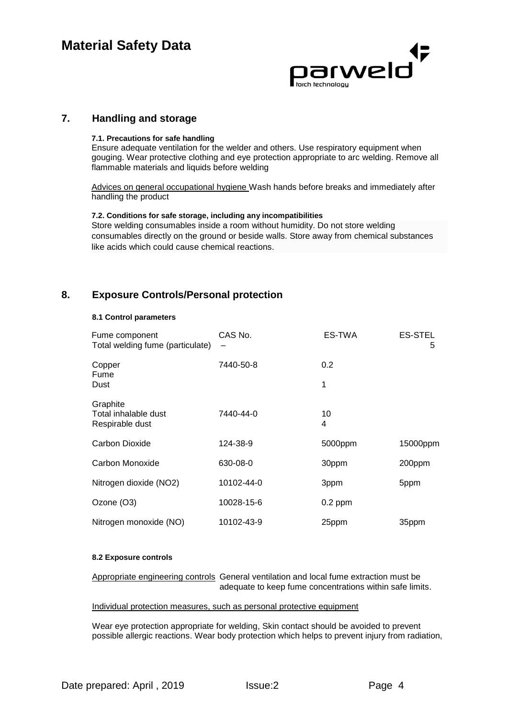

### **7. Handling and storage**

#### **7.1. Precautions for safe handling**

Ensure adequate ventilation for the welder and others. Use respiratory equipment when gouging. Wear protective clothing and eye protection appropriate to arc welding. Remove all flammable materials and liquids before welding

Advices on general occupational hygiene Wash hands before breaks and immediately after handling the product

#### **7.2. Conditions for safe storage, including any incompatibilities**

Store welding consumables inside a room without humidity. Do not store welding consumables directly on the ground or beside walls. Store away from chemical substances like acids which could cause chemical reactions.

# **8. Exposure Controls/Personal protection**

#### **8.1 Control parameters**

| Fume component<br>Total welding fume (particulate)  | CAS No.<br>— | ES-TWA    | <b>ES-STEL</b><br>5 |
|-----------------------------------------------------|--------------|-----------|---------------------|
| Copper<br>Fume<br>Dust                              | 7440-50-8    | 0.2<br>1  |                     |
|                                                     |              |           |                     |
| Graphite<br>Total inhalable dust<br>Respirable dust | 7440-44-0    | 10<br>4   |                     |
| Carbon Dioxide                                      | 124-38-9     | 5000ppm   | 15000ppm            |
| Carbon Monoxide                                     | 630-08-0     | 30ppm     | 200ppm              |
| Nitrogen dioxide (NO2)                              | 10102-44-0   | 3ppm      | 5ppm                |
| Ozone (O3)                                          | 10028-15-6   | $0.2$ ppm |                     |
| Nitrogen monoxide (NO)                              | 10102-43-9   | 25ppm     | 35ppm               |

#### **8.2 Exposure controls**

Appropriate engineering controls General ventilation and local fume extraction must be adequate to keep fume concentrations within safe limits.

#### Individual protection measures, such as personal protective equipment

Wear eye protection appropriate for welding, Skin contact should be avoided to prevent possible allergic reactions. Wear body protection which helps to prevent injury from radiation,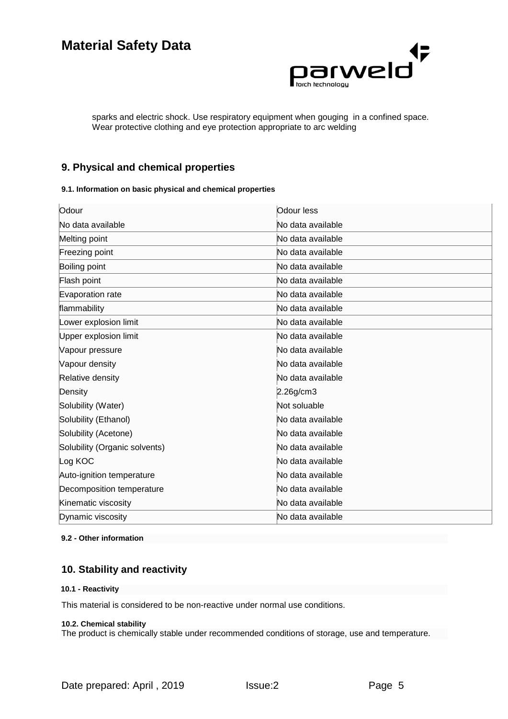

sparks and electric shock. Use respiratory equipment when gouging in a confined space. Wear protective clothing and eye protection appropriate to arc welding

# **9. Physical and chemical properties**

#### **9.1. Information on basic physical and chemical properties**

| Odour                         | Odour less        |
|-------------------------------|-------------------|
| No data available             | No data available |
| Melting point                 | No data available |
| Freezing point                | No data available |
| Boiling point                 | No data available |
| Flash point                   | No data available |
| Evaporation rate              | No data available |
| flammability                  | No data available |
| Lower explosion limit         | No data available |
| Upper explosion limit         | No data available |
| Vapour pressure               | No data available |
| Vapour density                | No data available |
| Relative density              | No data available |
| Density                       | 2.26g/cm3         |
| Solubility (Water)            | Not soluable      |
| Solubility (Ethanol)          | No data available |
| Solubility (Acetone)          | No data available |
| Solubility (Organic solvents) | No data available |
| Log KOC                       | No data available |
| Auto-ignition temperature     | No data available |
| Decomposition temperature     | No data available |
| Kinematic viscosity           | No data available |
| Dynamic viscosity             | No data available |

#### **9.2 - Other information**

# **10. Stability and reactivity**

#### **10.1 - Reactivity**

This material is considered to be non-reactive under normal use conditions.

#### **10.2. Chemical stability**

The product is chemically stable under recommended conditions of storage, use and temperature.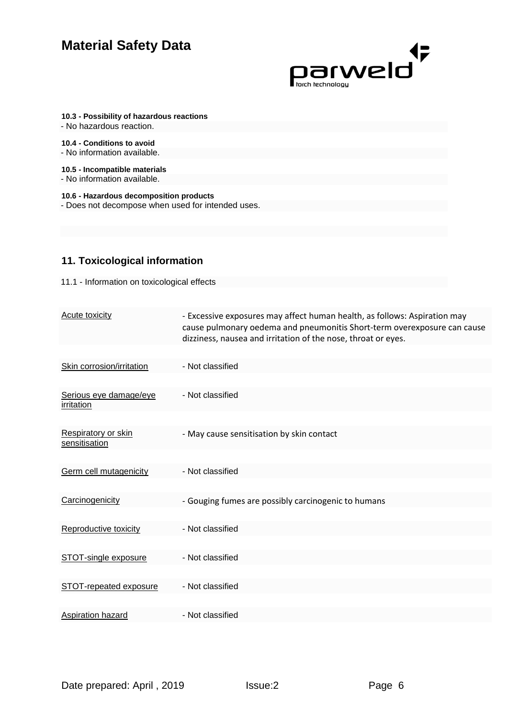

**10.3 - Possibility of hazardous reactions**

- No hazardous reaction.

**10.4 - Conditions to avoid** - No information available.

**10.5 - Incompatible materials**

- No information available.

**10.6 - Hazardous decomposition products** - Does not decompose when used for intended uses.

# **11. Toxicological information**

11.1 - Information on toxicological effects

| <b>Acute toxicity</b>                       | - Excessive exposures may affect human health, as follows: Aspiration may<br>cause pulmonary oedema and pneumonitis Short-term overexposure can cause<br>dizziness, nausea and irritation of the nose, throat or eyes. |
|---------------------------------------------|------------------------------------------------------------------------------------------------------------------------------------------------------------------------------------------------------------------------|
|                                             |                                                                                                                                                                                                                        |
| Skin corrosion/irritation                   | - Not classified                                                                                                                                                                                                       |
|                                             |                                                                                                                                                                                                                        |
| Serious eye damage/eye<br>irritation        | - Not classified                                                                                                                                                                                                       |
|                                             |                                                                                                                                                                                                                        |
| <b>Respiratory or skin</b><br>sensitisation | - May cause sensitisation by skin contact                                                                                                                                                                              |
|                                             |                                                                                                                                                                                                                        |
| Germ cell mutagenicity                      | - Not classified                                                                                                                                                                                                       |
|                                             |                                                                                                                                                                                                                        |
| Carcinogenicity                             | - Gouging fumes are possibly carcinogenic to humans                                                                                                                                                                    |
|                                             |                                                                                                                                                                                                                        |
| Reproductive toxicity                       | - Not classified                                                                                                                                                                                                       |
|                                             |                                                                                                                                                                                                                        |
| STOT-single exposure                        | - Not classified                                                                                                                                                                                                       |
|                                             |                                                                                                                                                                                                                        |
| STOT-repeated exposure                      | - Not classified                                                                                                                                                                                                       |
|                                             |                                                                                                                                                                                                                        |
| Aspiration hazard                           | - Not classified                                                                                                                                                                                                       |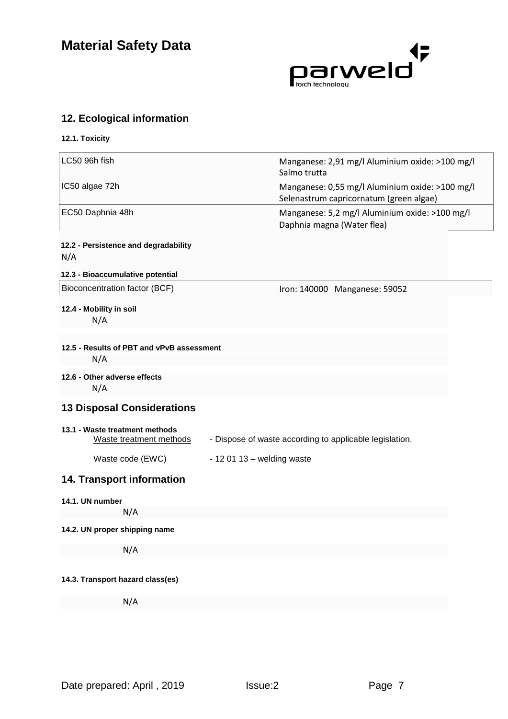

# **12. Ecological information**

| 12.1. Toxicity                                            |                                                                                            |  |
|-----------------------------------------------------------|--------------------------------------------------------------------------------------------|--|
| LC50 96h fish                                             | Manganese: 2,91 mg/l Aluminium oxide: >100 mg/l<br>Salmo trutta                            |  |
| IC50 algae 72h                                            | Manganese: 0,55 mg/l Aluminium oxide: >100 mg/l<br>Selenastrum capricornatum (green algae) |  |
| EC50 Daphnia 48h                                          | Manganese: 5,2 mg/l Aluminium oxide: >100 mg/l<br>Daphnia magna (Water flea)               |  |
| 12.2 - Persistence and degradability<br>N/A               |                                                                                            |  |
| 12.3 - Bioaccumulative potential                          |                                                                                            |  |
| Bioconcentration factor (BCF)                             | Iron: 140000 Manganese: 59052                                                              |  |
| 12.4 - Mobility in soil<br>N/A                            |                                                                                            |  |
| 12.5 - Results of PBT and vPvB assessment<br>N/A          |                                                                                            |  |
| 12.6 - Other adverse effects<br>N/A                       |                                                                                            |  |
| <b>13 Disposal Considerations</b>                         |                                                                                            |  |
| 13.1 - Waste treatment methods<br>Waste treatment methods | - Dispose of waste according to applicable legislation.                                    |  |
| Waste code (EWC)                                          | $-120113 -$ welding waste                                                                  |  |
| <b>14. Transport information</b>                          |                                                                                            |  |
| 14.1. UN number                                           |                                                                                            |  |
| N/A                                                       |                                                                                            |  |
| 14.2. UN proper shipping name                             |                                                                                            |  |
| N/A                                                       |                                                                                            |  |
| 14.3. Transport hazard class(es)                          |                                                                                            |  |
| N/A                                                       |                                                                                            |  |
|                                                           |                                                                                            |  |